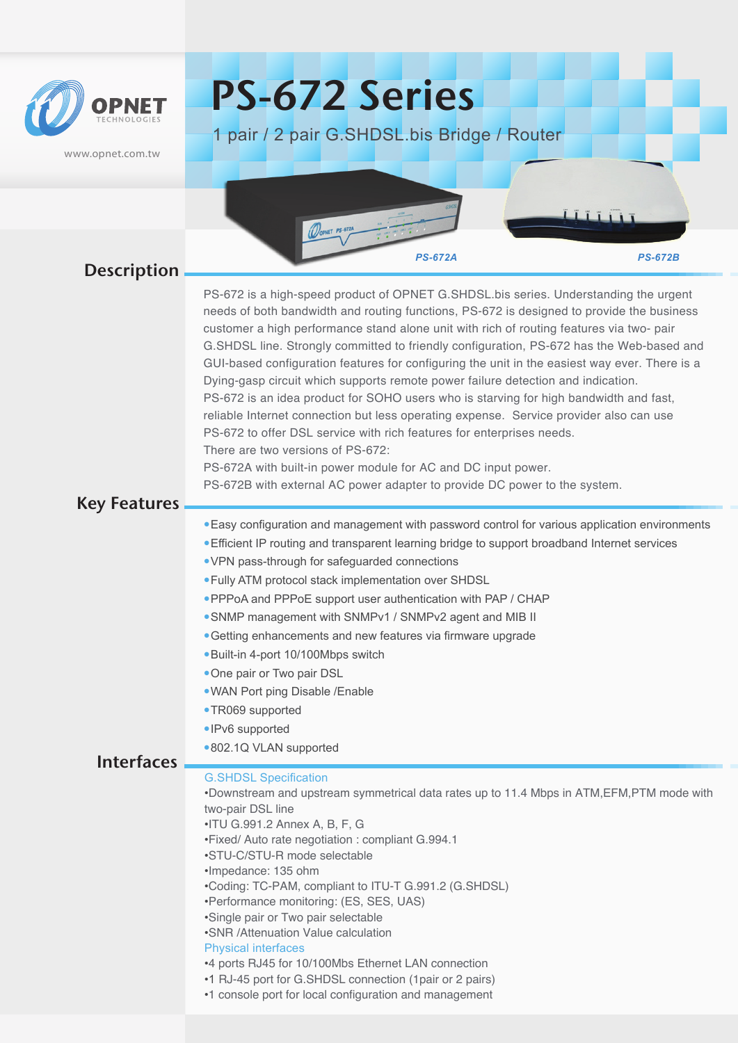

www.opnet.com.tw

# PS-672 Series

1 pair / 2 pair G.SHDSL.bis Bridge / Router

*PS-672A PS-672B* **Interfaces** Description PS-672 is a high-speed product of OPNET G.SHDSL.bis series. Understanding the urgent needs of both bandwidth and routing functions, PS-672 is designed to provide the business customer a high performance stand alone unit with rich of routing features via two- pair G.SHDSL line. Strongly committed to friendly configuration, PS-672 has the Web-based and GUI-based configuration features for configuring the unit in the easiest way ever. There is a Dying-gasp circuit which supports remote power failure detection and indication. PS-672 is an idea product for SOHO users who is starving for high bandwidth and fast, reliable Internet connection but less operating expense. Service provider also can use PS-672 to offer DSL service with rich features for enterprises needs. There are two versions of PS-672: PS-672A with built-in power module for AC and DC input power. PS-672B with external AC power adapter to provide DC power to the system. Key Features Easy configuration and management with password control for various application environments Efficient IP routing and transparent learning bridge to support broadband Internet services VPN pass-through for safeguarded connections Fully ATM protocol stack implementation over SHDSL PPPoA and PPPoE support user authentication with PAP / CHAP SNMP management with SNMPv1 / SNMPv2 agent and MIB II Getting enhancements and new features via firmware upgrade Built-in 4-port 10/100Mbps switch • One pair or Two pair DSL WAN Port ping Disable /Enable TR069 supported • IPv6 supported •802.1Q VLAN supported G.SHDSL Specification •Downstream and upstream symmetrical data rates up to 11.4 Mbps in ATM,EFM,PTM mode with two-pair DSL line •ITU G.991.2 Annex A, B, F, G •Fixed/ Auto rate negotiation : compliant G.994.1 •STU-C/STU-R mode selectable •Impedance: 135 ohm •Coding: TC-PAM, compliant to ITU-T G.991.2 (G.SHDSL) •Performance monitoring: (ES, SES, UAS) •Single pair or Two pair selectable •SNR /Attenuation Value calculation Physical interfaces •4 ports RJ45 for 10/100Mbs Ethernet LAN connection •1 RJ-45 port for G.SHDSL connection (1pair or 2 pairs) •1 console port for local configuration and management